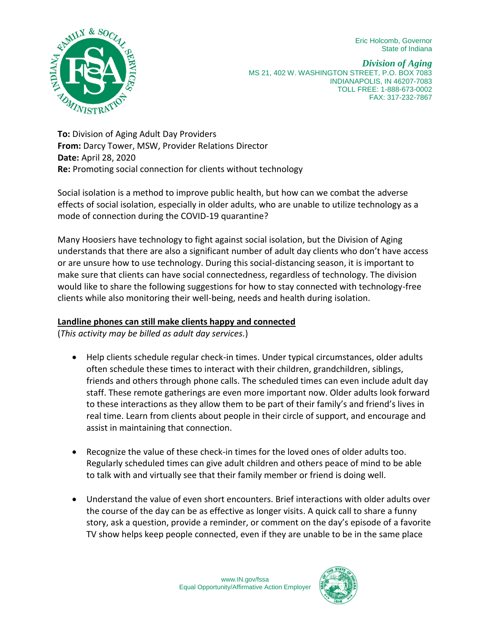Eric Holcomb, Governor State of Indiana



*Division of Aging* MS 21, 402 W. WASHINGTON STREET, P.O. BOX 7083 INDIANAPOLIS, IN 46207-7083 TOLL FREE: 1-888-673-0002 FAX: 317-232-7867

**To:** Division of Aging Adult Day Providers **From:** Darcy Tower, MSW, Provider Relations Director **Date:** April 28, 2020 **Re:** Promoting social connection for clients without technology

Social isolation is a method to improve public health, but how can we combat the adverse effects of social isolation, especially in older adults, who are unable to utilize technology as a mode of connection during the COVID-19 quarantine?

Many Hoosiers have technology to fight against social isolation, but the Division of Aging understands that there are also a significant number of adult day clients who don't have access or are unsure how to use technology. During this social-distancing season, it is important to make sure that clients can have social connectedness, regardless of technology. The division would like to share the following suggestions for how to stay connected with technology-free clients while also monitoring their well-being, needs and health during isolation.

## **Landline phones can still make clients happy and connected**

(*This activity may be billed as adult day services.*)

- Help clients schedule regular check-in times. Under typical circumstances, older adults often schedule these times to interact with their children, grandchildren, siblings, friends and others through phone calls. The scheduled times can even include adult day staff. These remote gatherings are even more important now. Older adults look forward to these interactions as they allow them to be part of their family's and friend's lives in real time. Learn from clients about people in their circle of support, and encourage and assist in maintaining that connection.
- Recognize the value of these check-in times for the loved ones of older adults too. Regularly scheduled times can give adult children and others peace of mind to be able to talk with and virtually see that their family member or friend is doing well.
- Understand the value of even short encounters. Brief interactions with older adults over the course of the day can be as effective as longer visits. A quick call to share a funny story, ask a question, provide a reminder, or comment on the day's episode of a favorite TV show helps keep people connected, even if they are unable to be in the same place